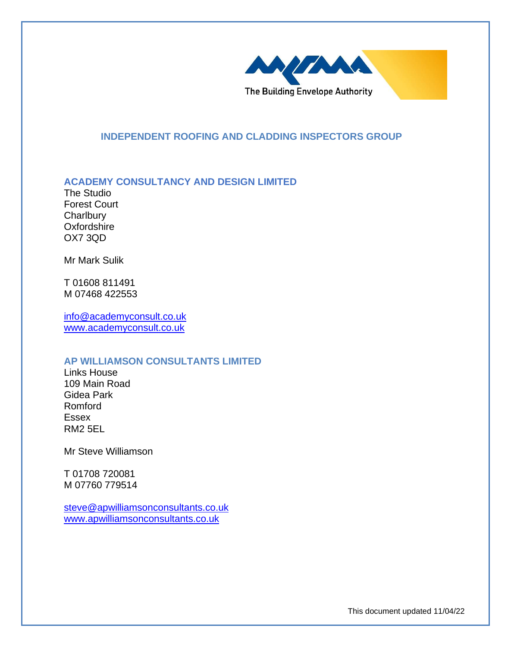

## **INDEPENDENT ROOFING AND CLADDING INSPECTORS GROUP**

## **ACADEMY CONSULTANCY AND DESIGN LIMITED**

The Studio Forest Court **Charlbury Oxfordshire** OX7 3QD

Mr Mark Sulik

T 01608 811491 M 07468 422553

[info@academyconsult.co.uk](mailto:info@academyconsult.co.uk) [www.academyconsult.co.uk](http://www.academyconsult.co.uk/)

### **AP WILLIAMSON CONSULTANTS LIMITED**

Links House 109 Main Road Gidea Park Romford Essex RM2 5EL

Mr Steve Williamson

T 01708 720081 M 07760 779514

[steve@apwilliamsonconsultants.co.uk](mailto:steve@apwilliamsonconsultants.co.uk) [www.apwilliamsonconsultants.co.uk](http://www.apwilliamsonconsultants.co.uk/)

This document updated 11/04/22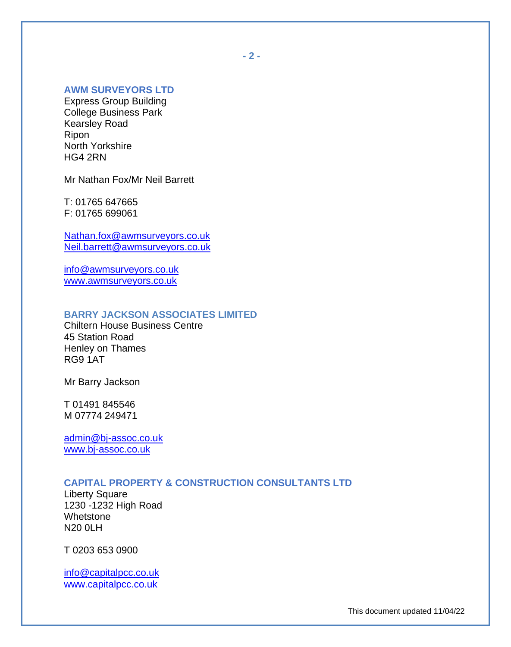# **AWM SURVEYORS LTD**

Express Group Building College Business Park Kearsley Road Ripon North Yorkshire HG4 2RN

Mr Nathan Fox/Mr Neil Barrett

T: 01765 647665 F: 01765 699061

[Nathan.fox@awmsurveyors.co.uk](mailto:Nathan.fox@awmsurveyors.co.uk) [Neil.barrett@awmsurveyors.co.uk](mailto:Neil.barrett@awmsurveyors.co.uk)

[info@awmsurveyors.co.uk](mailto:info@awmsurveyors.co.uk) [www.awmsurveyors.co.uk](http://www.awmsurveyors.co.uk/)

# **BARRY JACKSON ASSOCIATES LIMITED**

Chiltern House Business Centre 45 Station Road Henley on Thames RG9 1AT

Mr Barry Jackson

T 01491 845546 M 07774 249471

[admin@bj-assoc.co.uk](mailto:admin@bj-assoc.co.uk) [www.bj-assoc.co.uk](http://www.bj-assoc.co.uk/)

## **CAPITAL PROPERTY & CONSTRUCTION CONSULTANTS LTD**

Liberty Square 1230 -1232 High Road Whetstone N20 0LH

T 0203 653 0900

[info@capitalpcc.co.uk](mailto:info@capitalpcc.co.uk) [www.capitalpcc.co.uk](http://www.capitalpcc.co.uk/)

**- 2 -**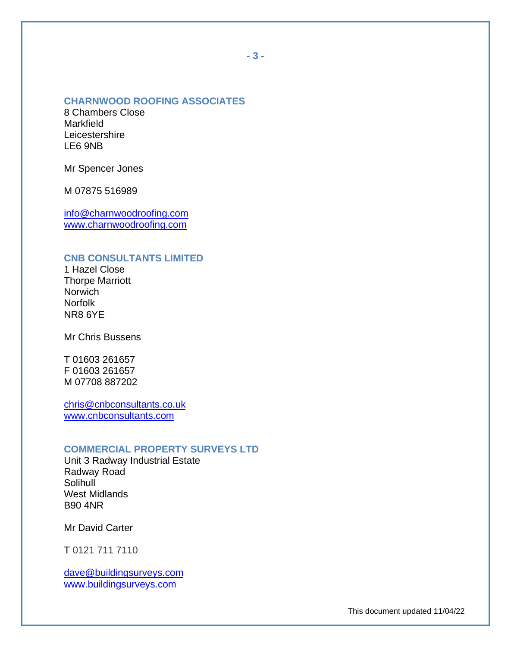### **CHARNWOOD ROOFING ASSOCIATES**

8 Chambers Close Markfield **Leicestershire** LE6 9NB

Mr Spencer Jones

M 07875 516989

[info@charnwoodroofing.com](mailto:info@charnwoodroofing.com) [www.charnwoodroofing.com](http://www.charnwoodroofing.com/)

# **CNB CONSULTANTS LIMITED**

1 Hazel Close Thorpe Marriott **Norwich** Norfolk NR8 6YE

Mr Chris Bussens

T 01603 261657 F 01603 261657 M 07708 887202

[chris@cnbconsultants.co.uk](mailto:chris@cnbconsultants.co.uk) [www.cnbconsultants.com](http://www.cnbconsultants.com/)

#### **COMMERCIAL PROPERTY SURVEYS LTD**

Unit 3 Radway Industrial Estate Radway Road Solihull West Midlands B90 4NR

Mr David Carter

T 0121 711 7110

[dave@buildingsurveys.com](mailto:dave@buildingsurveys.com) [www.buildingsurveys.com](http://www.buildingsurveys.com/)

This document updated 11/04/22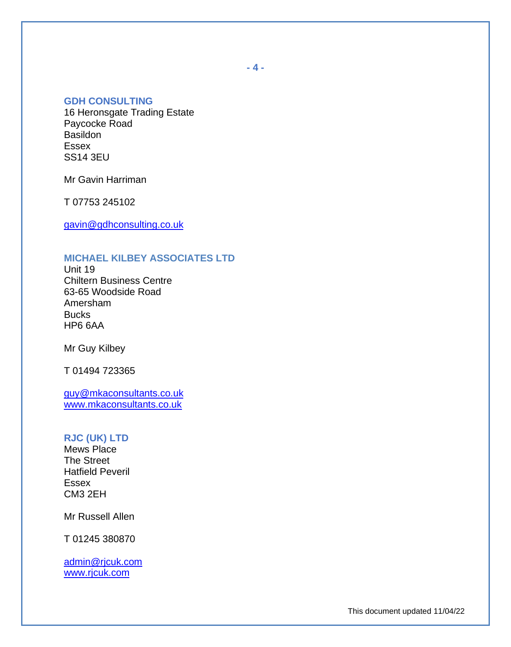### **GDH CONSULTING**

16 Heronsgate Trading Estate Paycocke Road Basildon Essex SS14 3EU

Mr Gavin Harriman

T 07753 245102

[gavin@gdhconsulting.co.uk](mailto:gavin@gdhconsulting.co.uk)

# **MICHAEL KILBEY ASSOCIATES LTD**

Unit 19 Chiltern Business Centre 63-65 Woodside Road Amersham **Bucks** HP6 6AA

Mr Guy Kilbey

T 01494 723365

[guy@mkaconsultants.co.uk](mailto:guy@mkaconsultants.co.uk) [www.mkaconsultants.co.uk](http://www.mkaconsultants.co.uk/)

#### **RJC (UK) LTD**

Mews Place The Street Hatfield Peveril Essex CM3 2EH

Mr Russell Allen

T 01245 380870

[admin@rjcuk.com](mailto:admin@rjcuk.com) [www.rjcuk.com](http://www.rjcuk.com/)